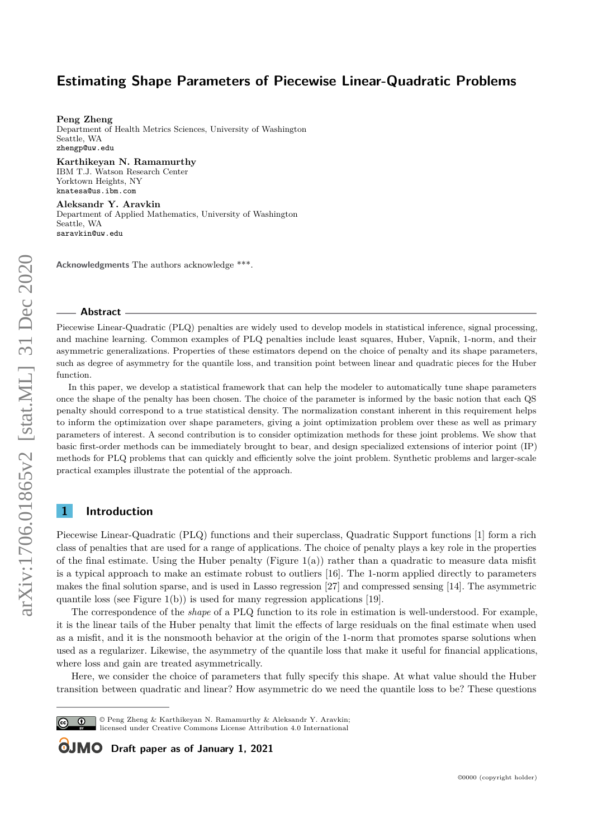**Peng Zheng**

Department of Health Metrics Sciences, University of Washington Seattle, WA [zhengp@uw.edu](mailto:zhengp@uw.edu)

**Karthikeyan N. Ramamurthy** IBM T.J. Watson Research Center Yorktown Heights, NY [knatesa@us.ibm.com](mailto:knatesa@us.ibm.com)

**Aleksandr Y. Aravkin** Department of Applied Mathematics, University of Washington Seattle, WA [saravkin@uw.edu](mailto:saravkin@uw.edu)

**Acknowledgments** The authors acknowledge \*\*\*.

#### **Abstract**

Piecewise Linear-Quadratic (PLQ) penalties are widely used to develop models in statistical inference, signal processing, and machine learning. Common examples of PLQ penalties include least squares, Huber, Vapnik, 1-norm, and their asymmetric generalizations. Properties of these estimators depend on the choice of penalty and its shape parameters, such as degree of asymmetry for the quantile loss, and transition point between linear and quadratic pieces for the Huber function.

In this paper, we develop a statistical framework that can help the modeler to automatically tune shape parameters once the shape of the penalty has been chosen. The choice of the parameter is informed by the basic notion that each QS penalty should correspond to a true statistical density. The normalization constant inherent in this requirement helps to inform the optimization over shape parameters, giving a joint optimization problem over these as well as primary parameters of interest. A second contribution is to consider optimization methods for these joint problems. We show that basic first-order methods can be immediately brought to bear, and design specialized extensions of interior point (IP) methods for PLQ problems that can quickly and efficiently solve the joint problem. Synthetic problems and larger-scale practical examples illustrate the potential of the approach.

## **1 Introduction**

Piecewise Linear-Quadratic (PLQ) functions and their superclass, Quadratic Support functions [\[1\]](#page-13-0) form a rich class of penalties that are used for a range of applications. The choice of penalty plays a key role in the properties of the final estimate. Using the Huber penalty (Figure [1\(](#page-1-0)a)) rather than a quadratic to measure data misfit is a typical approach to make an estimate robust to outliers [\[16\]](#page-14-0). The 1-norm applied directly to parameters makes the final solution sparse, and is used in Lasso regression [\[27\]](#page-14-1) and compressed sensing [\[14\]](#page-14-2). The asymmetric quantile loss (see Figure [1\(](#page-1-0)b)) is used for many regression applications [\[19\]](#page-14-3).

The correspondence of the *shape* of a PLQ function to its role in estimation is well-understood. For example, it is the linear tails of the Huber penalty that limit the effects of large residuals on the final estimate when used as a misfit, and it is the nonsmooth behavior at the origin of the 1-norm that promotes sparse solutions when used as a regularizer. Likewise, the asymmetry of the quantile loss that make it useful for financial applications, where loss and gain are treated asymmetrically.

Here, we consider the choice of parameters that fully specify this shape. At what value should the Huber transition between quadratic and linear? How asymmetric do we need the quantile loss to be? These questions

 $\boxed{6}$   $\boxed{0}$ 

© Peng Zheng & Karthikeyan N. Ramamurthy & Aleksandr Y. Aravkin;

licensed under Creative Commons License Attribution 4.0 International

**OJMO** Draft paper as of January 1, 2021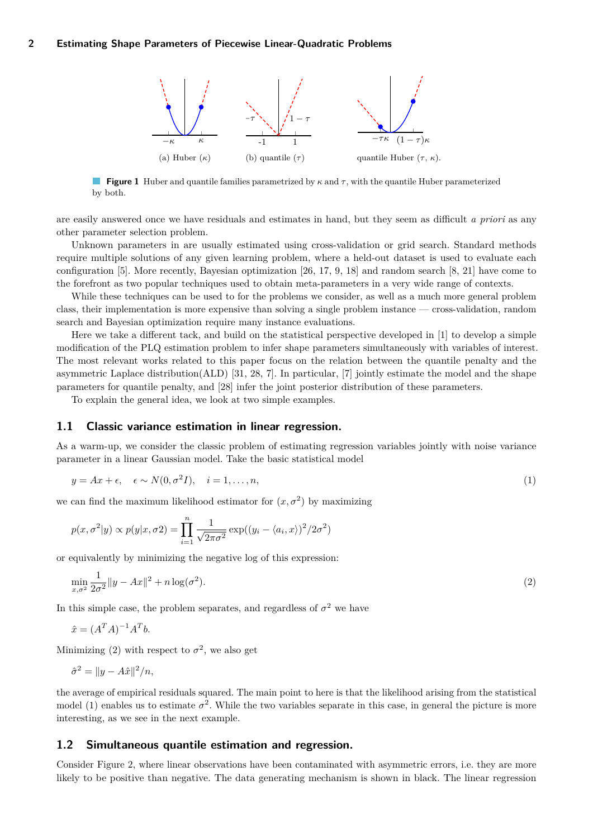<span id="page-1-0"></span>

**Figure 1** Huber and quantile families parametrized by *κ* and *τ* , with the quantile Huber parameterized by both.

are easily answered once we have residuals and estimates in hand, but they seem as difficult *a priori* as any other parameter selection problem.

Unknown parameters in are usually estimated using cross-validation or grid search. Standard methods require multiple solutions of any given learning problem, where a held-out dataset is used to evaluate each configuration [\[5\]](#page-13-1). More recently, Bayesian optimization [\[26,](#page-14-4) [17,](#page-14-5) [9,](#page-14-6) [18\]](#page-14-7) and random search [\[8,](#page-14-8) [21\]](#page-14-9) have come to the forefront as two popular techniques used to obtain meta-parameters in a very wide range of contexts.

While these techniques can be used to for the problems we consider, as well as a much more general problem class, their implementation is more expensive than solving a single problem instance — cross-validation, random search and Bayesian optimization require many instance evaluations.

Here we take a different tack, and build on the statistical perspective developed in [\[1\]](#page-13-0) to develop a simple modification of the PLQ estimation problem to infer shape parameters simultaneously with variables of interest. The most relevant works related to this paper focus on the relation between the quantile penalty and the asymmetric Laplace distribution(ALD) [\[31,](#page-14-10) [28,](#page-14-11) [7\]](#page-14-12). In particular, [\[7\]](#page-14-12) jointly estimate the model and the shape parameters for quantile penalty, and [\[28\]](#page-14-11) infer the joint posterior distribution of these parameters.

To explain the general idea, we look at two simple examples.

#### **1.1 Classic variance estimation in linear regression.**

As a warm-up, we consider the classic problem of estimating regression variables jointly with noise variance parameter in a linear Gaussian model. Take the basic statistical model

<span id="page-1-2"></span>
$$
y = Ax + \epsilon, \quad \epsilon \sim N(0, \sigma^2 I), \quad i = 1, \dots, n,
$$
\n<sup>(1)</sup>

we can find the maximum likelihood estimator for  $(x, \sigma^2)$  by maximizing

<span id="page-1-1"></span>
$$
p(x, \sigma^2 | y) \propto p(y | x, \sigma^2) = \prod_{i=1}^n \frac{1}{\sqrt{2\pi\sigma^2}} \exp((y_i - \langle a_i, x \rangle)^2 / 2\sigma^2)
$$

or equivalently by minimizing the negative log of this expression:

$$
\min_{x,\sigma^2} \frac{1}{2\sigma^2} \|y - Ax\|^2 + n \log(\sigma^2). \tag{2}
$$

In this simple case, the problem separates, and regardless of  $\sigma^2$  we have

$$
\hat{x} = (A^T A)^{-1} A^T b.
$$

Minimizing [\(2\)](#page-1-1) with respect to  $\sigma^2$ , we also get

$$
\hat{\sigma}^2 = ||y - A\hat{x}||^2/n,
$$

the average of empirical residuals squared. The main point to here is that the likelihood arising from the statistical model [\(1\)](#page-1-2) enables us to estimate  $\sigma^2$ . While the two variables separate in this case, in general the picture is more interesting, as we see in the next example.

## <span id="page-1-3"></span>**1.2 Simultaneous quantile estimation and regression.**

Consider Figure [2,](#page-2-0) where linear observations have been contaminated with asymmetric errors, i.e. they are more likely to be positive than negative. The data generating mechanism is shown in black. The linear regression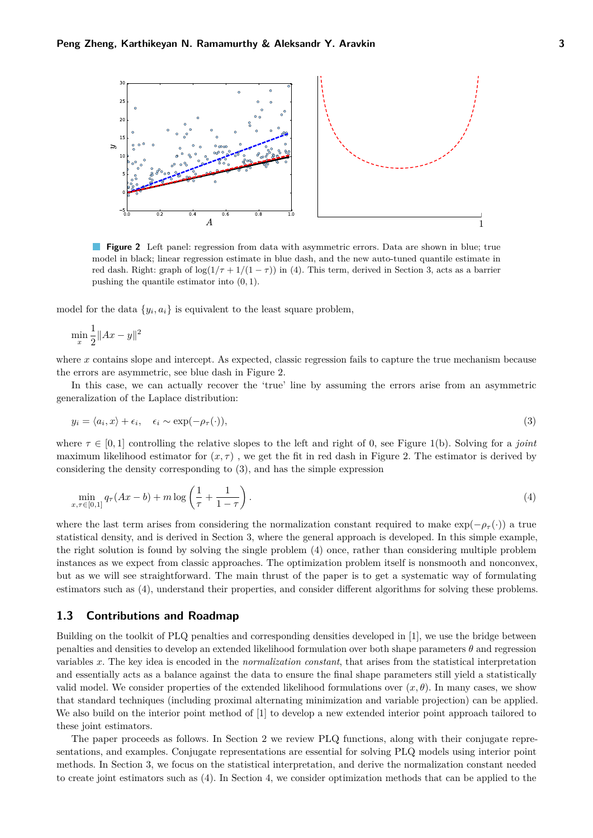<span id="page-2-0"></span>

**Figure 2** Left panel: regression from data with asymmetric errors. Data are shown in blue; true model in black; linear regression estimate in blue dash, and the new auto-tuned quantile estimate in red dash. Right: graph of  $\log(1/\tau + 1/(1 - \tau))$  in [\(4\)](#page-2-1). This term, derived in Section [3,](#page-4-0) acts as a barrier pushing the quantile estimator into (0*,* 1).

model for the data  $\{y_i, a_i\}$  is equivalent to the least square problem,

$$
\min_x \frac{1}{2} \|Ax - y\|^2
$$

where *x* contains slope and intercept. As expected, classic regression fails to capture the true mechanism because the errors are asymmetric, see blue dash in Figure [2.](#page-2-0)

In this case, we can actually recover the 'true' line by assuming the errors arise from an asymmetric generalization of the Laplace distribution:

<span id="page-2-2"></span>
$$
y_i = \langle a_i, x \rangle + \epsilon_i, \quad \epsilon_i \sim \exp(-\rho_\tau(\cdot)), \tag{3}
$$

where  $\tau \in [0,1]$  controlling the relative slopes to the left and right of 0, see Figure [1\(](#page-1-0)b). Solving for a *joint* maximum likelihood estimator for  $(x, \tau)$ , we get the fit in red dash in Figure [2.](#page-2-0) The estimator is derived by considering the density corresponding to [\(3\)](#page-2-2), and has the simple expression

<span id="page-2-1"></span>
$$
\min_{x,\tau \in [0,1]} q_{\tau}(Ax - b) + m \log \left( \frac{1}{\tau} + \frac{1}{1 - \tau} \right). \tag{4}
$$

where the last term arises from considering the normalization constant required to make  $\exp(-\rho_\tau(\cdot))$  a true statistical density, and is derived in Section [3,](#page-4-0) where the general approach is developed. In this simple example, the right solution is found by solving the single problem [\(4\)](#page-2-1) once, rather than considering multiple problem instances as we expect from classic approaches. The optimization problem itself is nonsmooth and nonconvex, but as we will see straightforward. The main thrust of the paper is to get a systematic way of formulating estimators such as [\(4\)](#page-2-1), understand their properties, and consider different algorithms for solving these problems.

#### **1.3 Contributions and Roadmap**

Building on the toolkit of PLQ penalties and corresponding densities developed in [\[1\]](#page-13-0), we use the bridge between penalties and densities to develop an extended likelihood formulation over both shape parameters *θ* and regression variables *x*. The key idea is encoded in the *normalization constant*, that arises from the statistical interpretation and essentially acts as a balance against the data to ensure the final shape parameters still yield a statistically valid model. We consider properties of the extended likelihood formulations over  $(x, \theta)$ . In many cases, we show that standard techniques (including proximal alternating minimization and variable projection) can be applied. We also build on the interior point method of [\[1\]](#page-13-0) to develop a new extended interior point approach tailored to these joint estimators.

The paper proceeds as follows. In Section [2](#page-3-0) we review PLQ functions, along with their conjugate representations, and examples. Conjugate representations are essential for solving PLQ models using interior point methods. In Section [3,](#page-4-0) we focus on the statistical interpretation, and derive the normalization constant needed to create joint estimators such as [\(4\)](#page-2-1). In Section [4,](#page-6-0) we consider optimization methods that can be applied to the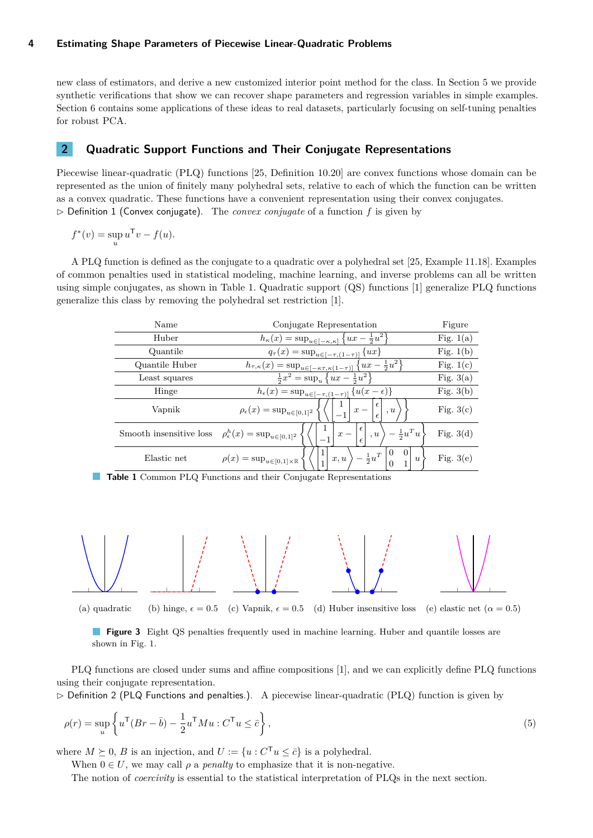new class of estimators, and derive a new customized interior point method for the class. In Section [5](#page-10-0) we provide synthetic verifications that show we can recover shape parameters and regression variables in simple examples. Section [6](#page-12-0) contains some applications of these ideas to real datasets, particularly focusing on self-tuning penalties for robust PCA.

# <span id="page-3-0"></span>**2 Quadratic Support Functions and Their Conjugate Representations**

Piecewise linear-quadratic (PLQ) functions [\[25,](#page-14-13) Definition 10.20] are convex functions whose domain can be represented as the union of finitely many polyhedral sets, relative to each of which the function can be written as a convex quadratic. These functions have a convenient representation using their convex conjugates.  $\triangleright$  Definition 1 (Convex conjugate). The *convex conjugate* of a function *f* is given by

$$
f^*(v) = \sup_u u^{\mathsf{T}} v - f(u).
$$

<span id="page-3-1"></span>A PLQ function is defined as the conjugate to a quadratic over a polyhedral set [\[25,](#page-14-13) Example 11.18]. Examples of common penalties used in statistical modeling, machine learning, and inverse problems can all be written using simple conjugates, as shown in Table [1.](#page-3-1) Quadratic support (QS) functions [\[1\]](#page-13-0) generalize PLQ functions generalize this class by removing the polyhedral set restriction [\[1\]](#page-13-0).

| Name                    | Conjugate Representation                                                                                                          |             |  |
|-------------------------|-----------------------------------------------------------------------------------------------------------------------------------|-------------|--|
| Huber                   | $h_{\kappa}(x) = \sup_{u \in [-\kappa,\kappa]} \left\{ ux - \frac{1}{2}u^2 \right\}$                                              | Fig. $1(a)$ |  |
| Quantile                | $q_{\tau}(x) = \sup_{u \in [-\tau, (1-\tau)]} \{ux\}$                                                                             | Fig. $1(b)$ |  |
| Quantile Huber          | $h_{\tau,\kappa}(x) = \sup_{u \in [-\kappa\tau,\kappa(1-\tau)]} \left\{ ux - \frac{1}{2}u^2 \right\}$                             | Fig. $1(c)$ |  |
| Least squares           | $\frac{1}{2}x^2 = \sup_u \{ux - \frac{1}{2}u^2\}$                                                                                 | Fig. $3(a)$ |  |
| Hinge                   | $h_{\epsilon}(x) = \sup_{u \in [-\tau, (1-\tau)]} \{u(x-\epsilon)\}\$                                                             | Fig. $3(b)$ |  |
| Vapnik                  | €<br>$\rho_{\epsilon}(x) = \sup_{u \in [0,1]^2}$<br>$x -$<br>, u<br>$\epsilon$                                                    | Fig. $3(c)$ |  |
| Smooth insensitive loss | $\epsilon$<br>$- \frac{1}{2} u^T u$ ,<br>$\rho_{\epsilon}^{h}(x) = \sup_{u \in [0,1]^2}$<br>, u<br>$x -$<br>$-1$                  | Fig. $3(d)$ |  |
| Elastic net             | $\theta$<br>$\frac{1}{2}u^T$<br>$\rho(x) = \sup_{u \in [0,1] \times \mathbb{R}}$<br>x, u<br>$\boldsymbol{u}$<br>$\mathbf{1}$<br>1 | Fig. $3(e)$ |  |



<span id="page-3-2"></span>

(a) quadratic (b) hinge,  $\epsilon = 0.5$  (c) Vapnik,  $\epsilon = 0.5$  (d) Huber insensitive loss (e) elastic net ( $\alpha = 0.5$ )

PLQ functions are closed under sums and affine compositions [\[1\]](#page-13-0), and we can explicitly define PLQ functions using their conjugate representation.

 $\triangleright$  Definition 2 (PLQ Functions and penalties.). A piecewise linear-quadratic (PLQ) function is given by

$$
\rho(r) = \sup_{u} \left\{ u^{\mathsf{T}} (Br - \bar{b}) - \frac{1}{2} u^{\mathsf{T}} M u : C^{\mathsf{T}} u \le \bar{c} \right\},\tag{5}
$$

where  $M \succeq 0$ , *B* is an injection, and  $U := \{u : C^{\mathsf{T}} u \leq \overline{c}\}$  is a polyhedral.

When  $0 \in U$ , we may call  $\rho$  a *penalty* to emphasize that it is non-negative.

The notion of *coercivity* is essential to the statistical interpretation of PLQs in the next section.

<span id="page-3-3"></span>**Figure 3** Eight QS penalties frequently used in machine learning. Huber and quantile losses are shown in Fig. [1.](#page-1-0)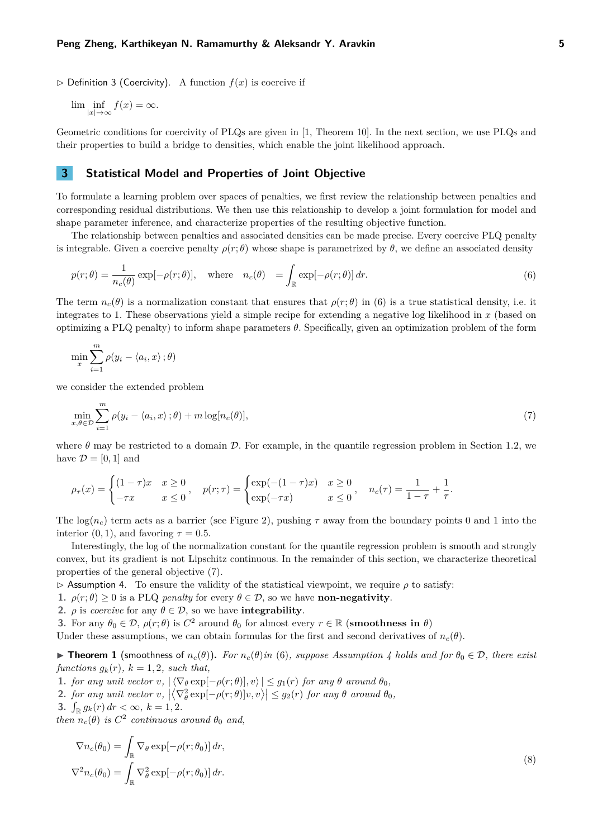$\triangleright$  Definition 3 (Coercivity). A function  $f(x)$  is coercive if

 $\lim_{|x| \to \infty} \inf_{f(x) = \infty} f(x) = \infty.$ 

Geometric conditions for coercivity of PLQs are given in [\[1,](#page-13-0) Theorem 10]. In the next section, we use PLQs and their properties to build a bridge to densities, which enable the joint likelihood approach.

## <span id="page-4-0"></span>**3 Statistical Model and Properties of Joint Objective**

To formulate a learning problem over spaces of penalties, we first review the relationship between penalties and corresponding residual distributions. We then use this relationship to develop a joint formulation for model and shape parameter inference, and characterize properties of the resulting objective function.

The relationship between penalties and associated densities can be made precise. Every coercive PLQ penalty is integrable. Given a coercive penalty  $\rho(r;\theta)$  whose shape is parametrized by  $\theta$ , we define an associated density

<span id="page-4-1"></span>
$$
p(r; \theta) = \frac{1}{n_c(\theta)} \exp[-\rho(r; \theta)], \quad \text{where} \quad n_c(\theta) = \int_{\mathbb{R}} \exp[-\rho(r; \theta)] \, dr. \tag{6}
$$

The term  $n_c(\theta)$  is a normalization constant that ensures that  $\rho(r;\theta)$  in [\(6\)](#page-4-1) is a true statistical density, i.e. it integrates to 1. These observations yield a simple recipe for extending a negative log likelihood in *x* (based on optimizing a PLQ penalty) to inform shape parameters *θ*. Specifically, given an optimization problem of the form

$$
\min_{x} \sum_{i=1}^{m} \rho(y_i - \langle a_i, x \rangle; \theta)
$$

we consider the extended problem

<span id="page-4-2"></span>
$$
\min_{x,\theta \in \mathcal{D}} \sum_{i=1}^{m} \rho(y_i - \langle a_i, x \rangle; \theta) + m \log[n_c(\theta)],\tag{7}
$$

where  $\theta$  may be restricted to a domain  $\mathcal{D}$ . For example, in the quantile regression problem in Section [1.2,](#page-1-3) we have  $\mathcal{D} = [0, 1]$  and

$$
\rho_{\tau}(x) = \begin{cases} (1-\tau)x & x \ge 0 \\ -\tau x & x \le 0 \end{cases}, \quad p(r;\tau) = \begin{cases} \exp(-(1-\tau)x) & x \ge 0 \\ \exp(-\tau x) & x \le 0 \end{cases}, \quad n_c(\tau) = \frac{1}{1-\tau} + \frac{1}{\tau}.
$$

The  $log(n_c)$  term acts as a barrier (see Figure [2\)](#page-2-0), pushing  $\tau$  away from the boundary points 0 and 1 into the interior  $(0, 1)$ , and favoring  $\tau = 0.5$ .

Interestingly, the log of the normalization constant for the quantile regression problem is smooth and strongly convex, but its gradient is not Lipschitz continuous. In the remainder of this section, we characterize theoretical properties of the general objective [\(7\)](#page-4-2).

<span id="page-4-3"></span> $\triangleright$  Assumption 4. To ensure the validity of the statistical viewpoint, we require  $\rho$  to satisfy:

**1.**  $\rho(r; \theta) > 0$  is a PLQ *penalty* for every  $\theta \in \mathcal{D}$ , so we have **non-negativity**.

**2.**  $\rho$  is *coercive* for any  $\theta \in \mathcal{D}$ , so we have **integrability**.

**3.** For any  $\theta_0 \in \mathcal{D}$ ,  $\rho(r;\theta)$  is  $C^2$  around  $\theta_0$  for almost every  $r \in \mathbb{R}$  (**smoothness in**  $\theta$ )

Under these assumptions, we can obtain formulas for the first and second derivatives of  $n_c(\theta)$ .

<span id="page-4-5"></span> $▶$  **Theorem 1** (smoothness of  $n_c(\theta)$ ). For  $n_c(\theta)$  in [\(6\)](#page-4-1), suppose Assumption [4](#page-4-3) holds and for  $\theta_0 \in \mathcal{D}$ , there exist *functions*  $g_k(r)$ ,  $k = 1, 2$ , such that,

- **1.** *for any unit vector*  $v$ *,*  $|\langle \nabla_{\theta} \exp[-\rho(r;\theta)], v \rangle| \leq g_1(r)$  *for any*  $\theta$  *around*  $\theta_0$ *,*
- 2. for any unit vector  $v$ ,  $\left|\left\langle \nabla_{\theta}^2 \exp[-\rho(r;\theta)]v, v\right\rangle\right| \leq g_2(r)$  for any  $\theta$  around  $\theta_0$ ,
- **3.**  $\int_{\mathbb{R}} g_k(r) dr < \infty, k = 1, 2.$

*then*  $n_c(\theta)$  *is*  $C^2$  *continuous around*  $\theta_0$  *and,* 

<span id="page-4-4"></span>
$$
\nabla n_c(\theta_0) = \int_{\mathbb{R}} \nabla_{\theta} \exp[-\rho(r; \theta_0)] dr,
$$
  

$$
\nabla^2 n_c(\theta_0) = \int_{\mathbb{R}} \nabla_{\theta}^2 \exp[-\rho(r; \theta_0)] dr.
$$
 (8)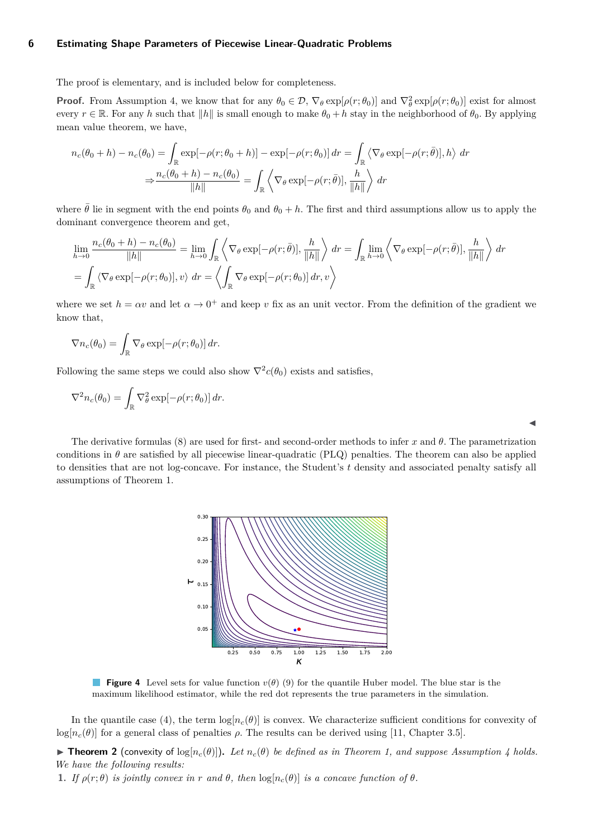The proof is elementary, and is included below for completeness.

**Proof.** From Assumption [4,](#page-4-3) we know that for any  $\theta_0 \in \mathcal{D}$ ,  $\nabla_{\theta} \exp[\rho(r; \theta_0)]$  and  $\nabla_{\theta}^2 \exp[\rho(r; \theta_0)]$  exist for almost every  $r \in \mathbb{R}$ . For any *h* such that  $||h||$  is small enough to make  $\theta_0 + h$  stay in the neighborhood of  $\theta_0$ . By applying mean value theorem, we have,

$$
n_c(\theta_0 + h) - n_c(\theta_0) = \int_{\mathbb{R}} \exp[-\rho(r; \theta_0 + h)] - \exp[-\rho(r; \theta_0)] dr = \int_{\mathbb{R}} \left\langle \nabla_{\theta} \exp[-\rho(r; \bar{\theta})], h \right\rangle dr
$$

$$
\Rightarrow \frac{n_c(\theta_0 + h) - n_c(\theta_0)}{\|h\|} = \int_{\mathbb{R}} \left\langle \nabla_{\theta} \exp[-\rho(r; \bar{\theta})], \frac{h}{\|h\|} \right\rangle dr
$$

where  $\bar{\theta}$  lie in segment with the end points  $\theta_0$  and  $\theta_0 + h$ . The first and third assumptions allow us to apply the dominant convergence theorem and get,

$$
\lim_{h \to 0} \frac{n_c(\theta_0 + h) - n_c(\theta_0)}{\|h\|} = \lim_{h \to 0} \int_{\mathbb{R}} \left\langle \nabla_{\theta} \exp[-\rho(r; \bar{\theta})], \frac{h}{\|h\|} \right\rangle dr = \int_{\mathbb{R}} \lim_{h \to 0} \left\langle \nabla_{\theta} \exp[-\rho(r; \bar{\theta})], \frac{h}{\|h\|} \right\rangle dr
$$
\n
$$
= \int_{\mathbb{R}} \left\langle \nabla_{\theta} \exp[-\rho(r; \theta_0)], v \right\rangle dr = \left\langle \int_{\mathbb{R}} \nabla_{\theta} \exp[-\rho(r; \theta_0)] dr, v \right\rangle
$$

where we set  $h = \alpha v$  and let  $\alpha \to 0^+$  and keep v fix as an unit vector. From the definition of the gradient we know that,

$$
\nabla n_c(\theta_0) = \int_{\mathbb{R}} \nabla_{\theta} \exp[-\rho(r; \theta_0)] dr.
$$

Following the same steps we could also show  $\nabla^2 c(\theta_0)$  exists and satisfies,

$$
\nabla^2 n_c(\theta_0) = \int_{\mathbb{R}} \nabla_{\theta}^2 \exp[-\rho(r; \theta_0)] dr.
$$

<span id="page-5-1"></span>The derivative formulas [\(8\)](#page-4-4) are used for first- and second-order methods to infer  $x$  and  $\theta$ . The parametrization conditions in  $\theta$  are satisfied by all piecewise linear-quadratic (PLQ) penalties. The theorem can also be applied to densities that are not log-concave. For instance, the Student's *t* density and associated penalty satisfy all assumptions of Theorem [1.](#page-4-5)

 $\blacktriangleleft$ 



**Figure 4** Level sets for value function  $v(\theta)$  [\(9\)](#page-6-1) for the quantile Huber model. The blue star is the maximum likelihood estimator, while the red dot represents the true parameters in the simulation.

In the quantile case [\(4\)](#page-2-1), the term  $\log[n_c(\theta)]$  is convex. We characterize sufficient conditions for convexity of  $\log[n_c(\theta)]$  for a general class of penalties  $\rho$ . The results can be derived using [\[11,](#page-14-14) Chapter 3.5].

<span id="page-5-0"></span>**Findam 2** (convexity of log[ $n_c(\theta)$ ]). Let  $n_c(\theta)$  be defined as in Theorem [1,](#page-4-5) and suppose Assumption [4](#page-4-3) holds. *We have the following results:*

**1.** *If*  $\rho(r; \theta)$  *is jointly convex in*  $r$  *and*  $\theta$ *, then*  $\log[n_c(\theta)]$  *is a concave function of*  $\theta$ *.*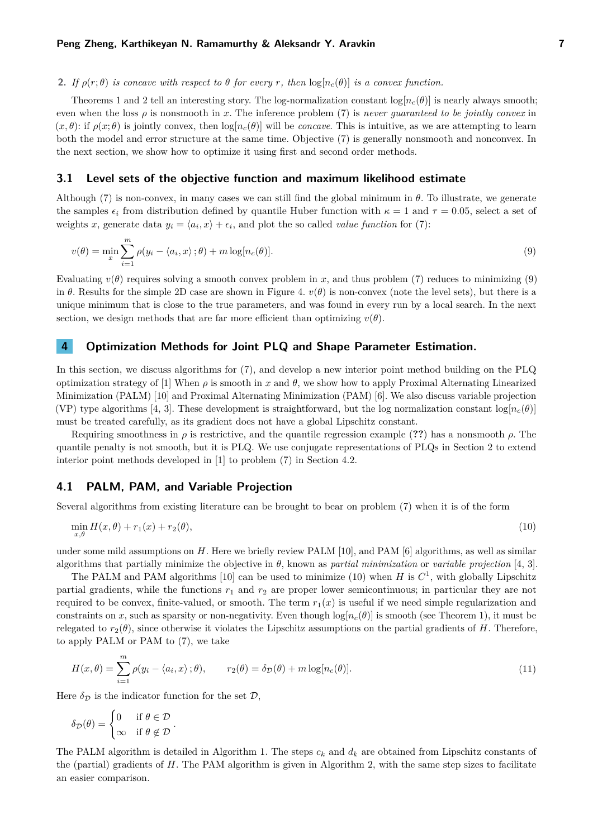## **2.** *If*  $\rho(r;\theta)$  *is concave with respect to*  $\theta$  *for every r,* then  $\log[n_c(\theta)]$  *is a convex function.*

Theorems [1](#page-4-5) and [2](#page-5-0) tell an interesting story. The log-normalization constant  $\log[n_c(\theta)]$  is nearly always smooth; even when the loss  $\rho$  is nonsmooth in *x*. The inference problem [\(7\)](#page-4-2) is *never quaranteed to be jointly convex* in  $(x, \theta)$ : if  $\rho(x; \theta)$  is jointly convex, then  $\log[n_c(\theta)]$  will be *concave*. This is intuitive, as we are attempting to learn both the model and error structure at the same time. Objective [\(7\)](#page-4-2) is generally nonsmooth and nonconvex. In the next section, we show how to optimize it using first and second order methods.

#### <span id="page-6-3"></span>**3.1 Level sets of the objective function and maximum likelihood estimate**

Although [\(7\)](#page-4-2) is non-convex, in many cases we can still find the global minimum in *θ*. To illustrate, we generate the samples  $\epsilon_i$  from distribution defined by quantile Huber function with  $\kappa = 1$  and  $\tau = 0.05$ , select a set of weights *x*, generate data  $y_i = \langle a_i, x \rangle + \epsilon_i$ , and plot the so called *value function* for [\(7\)](#page-4-2):

<span id="page-6-1"></span>
$$
v(\theta) = \min_{x} \sum_{i=1}^{m} \rho(y_i - \langle a_i, x \rangle; \theta) + m \log[n_c(\theta)].
$$
\n(9)

Evaluating  $v(\theta)$  requires solving a smooth convex problem in *x*, and thus problem [\(7\)](#page-4-2) reduces to minimizing [\(9\)](#page-6-1) in  $\theta$ . Results for the simple 2D case are shown in Figure [4.](#page-5-1)  $v(\theta)$  is non-convex (note the level sets), but there is a unique minimum that is close to the true parameters, and was found in every run by a local search. In the next section, we design methods that are far more efficient than optimizing  $v(\theta)$ .

## <span id="page-6-0"></span>**4 Optimization Methods for Joint PLQ and Shape Parameter Estimation.**

In this section, we discuss algorithms for [\(7\)](#page-4-2), and develop a new interior point method building on the PLQ optimization strategy of [\[1\]](#page-13-0) When  $\rho$  is smooth in x and  $\theta$ , we show how to apply Proximal Alternating Linearized Minimization (PALM) [\[10\]](#page-14-15) and Proximal Alternating Minimization (PAM) [\[6\]](#page-13-2). We also discuss variable projection (VP) type algorithms [\[4,](#page-13-3) [3\]](#page-13-4). These development is straightforward, but the log normalization constant  $\log(n_c(\theta))$ must be treated carefully, as its gradient does not have a global Lipschitz constant.

Requiring smoothness in *ρ* is restrictive, and the quantile regression example (**??**) has a nonsmooth *ρ*. The quantile penalty is not smooth, but it is PLQ. We use conjugate representations of PLQs in Section [2](#page-3-0) to extend interior point methods developed in [\[1\]](#page-13-0) to problem [\(7\)](#page-4-2) in Section [4.2.](#page-7-0)

#### <span id="page-6-5"></span>**4.1 PALM, PAM, and Variable Projection**

Several algorithms from existing literature can be brought to bear on problem [\(7\)](#page-4-2) when it is of the form

<span id="page-6-2"></span>
$$
\min_{x,\theta} H(x,\theta) + r_1(x) + r_2(\theta),\tag{10}
$$

under some mild assumptions on *H*. Here we briefly review PALM [\[10\]](#page-14-15), and PAM [\[6\]](#page-13-2) algorithms, as well as similar algorithms that partially minimize the objective in *θ*, known as *partial minimization* or *variable projection* [\[4,](#page-13-3) [3\]](#page-13-4).

The PALM and PAM algorithms [\[10\]](#page-14-15) can be used to minimize [\(10\)](#page-6-2) when *H* is  $C^1$ , with globally Lipschitz partial gradients, while the functions *r*<sup>1</sup> and *r*<sup>2</sup> are proper lower semicontinuous; in particular they are not required to be convex, finite-valued, or smooth. The term  $r_1(x)$  is useful if we need simple regularization and constraints on x, such as sparsity or non-negativity. Even though  $log[n_c(\theta)]$  is smooth (see Theorem [1\)](#page-4-5), it must be relegated to  $r_2(\theta)$ , since otherwise it violates the Lipschitz assumptions on the partial gradients of *H*. Therefore, to apply PALM or PAM to [\(7\)](#page-4-2), we take

<span id="page-6-4"></span>
$$
H(x,\theta) = \sum_{i=1}^{m} \rho(y_i - \langle a_i, x \rangle; \theta), \qquad r_2(\theta) = \delta_{\mathcal{D}}(\theta) + m \log[n_c(\theta)].
$$
\n(11)

Here  $\delta_{\mathcal{D}}$  is the indicator function for the set  $\mathcal{D}$ ,

$$
\delta_{\mathcal{D}}(\theta) = \begin{cases} 0 & \text{if } \theta \in \mathcal{D} \\ \infty & \text{if } \theta \notin \mathcal{D} \end{cases}.
$$

The PALM algorithm is detailed in Algorithm [1.](#page-7-1) The steps  $c_k$  and  $d_k$  are obtained from Lipschitz constants of the (partial) gradients of *H*. The PAM algorithm is given in Algorithm [2,](#page-7-2) with the same step sizes to facilitate an easier comparison.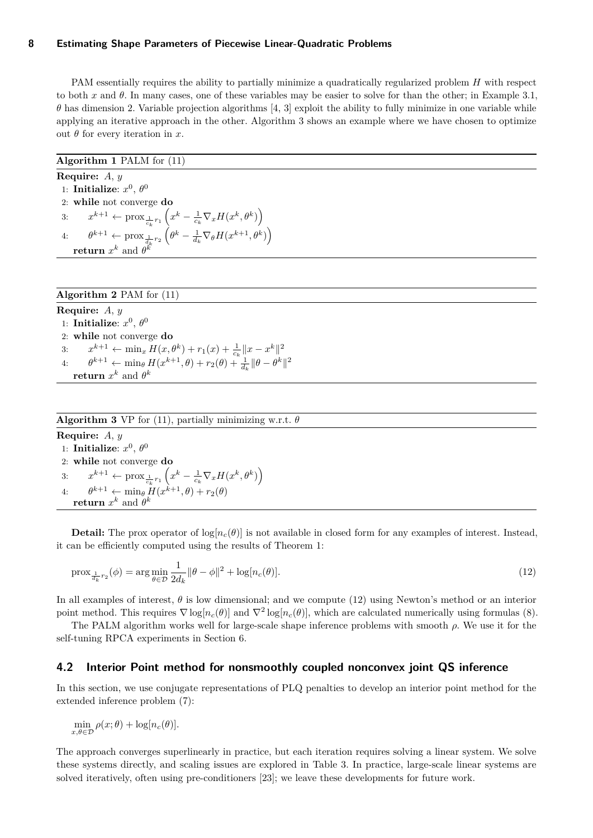PAM essentially requires the ability to partially minimize a quadratically regularized problem *H* with respect to both x and  $\theta$ . In many cases, one of these variables may be easier to solve for than the other; in Example [3.1,](#page-6-3)  $\theta$  has dimension 2. Variable projection algorithms [\[4,](#page-13-3) [3\]](#page-13-4) exploit the ability to fully minimize in one variable while applying an iterative approach in the other. Algorithm [3](#page-7-3) shows an example where we have chosen to optimize out *θ* for every iteration in *x.*

# <span id="page-7-1"></span>**Algorithm 1** PALM for [\(11\)](#page-6-4) **Require:** *A*, *y* 1: **Initialize**:  $x^0$ ,  $\theta^0$ 2: **while** not converge **do** 3:  $x^{k+1} \leftarrow \text{prox}_{\frac{1}{c_k}r_1}\left(x^k - \frac{1}{c_k}\nabla_x H(x^k, \theta^k)\right)$  $\theta^{k+1} \leftarrow \text{prox}_{\frac{1}{d_k}r_2}\left(\theta^k - \frac{1}{d_k}\nabla_{\theta}H(x^{k+1},\theta^k)\right)$ **return**  $x^k$  and  $\theta^k$

### <span id="page-7-2"></span>**Algorithm 2** PAM for [\(11\)](#page-6-4)

**Require:** *A*, *y* 1: **Initialize**:  $x^0$ ,  $\theta^0$ 2: **while** not converge **do** 3:  $x^{k+1} \leftarrow \min_x H(x, \theta^k) + r_1(x) + \frac{1}{c_k} ||x - x^k||^2$ 4:  $\theta^{k+1} \leftarrow \min_{\theta} H(x^{k+1}, \theta) + r_2(\theta) + \frac{1}{d_k} \|\theta - \theta^k\|^2$  $\mathbf{return} \; x^k \; \text{and} \; \theta^k$ 

#### <span id="page-7-3"></span>**Algorithm 3** VP for [\(11\)](#page-6-4), partially minimizing w.r.t. *θ*

**Require:** *A*, *y* 1: **Initialize**:  $x^0$ ,  $\theta^0$ 2: **while** not converge **do** 3:  $x^{k+1} \leftarrow \text{prox}_{\frac{1}{c_k}r_1}\left(x^k - \frac{1}{c_k}\nabla_x H(x^k, \theta^k)\right)$ 4:  $\theta^{k+1} \leftarrow \min_{\theta} H(x^{k+1}, \theta) + r_2(\theta)$ **return**  $x^k$  and  $\theta^k$ 

**Detail:** The prox operator of  $\log[n_c(\theta)]$  is not available in closed form for any examples of interest. Instead, it can be efficiently computed using the results of Theorem [1:](#page-4-5)

<span id="page-7-4"></span>
$$
\text{prox}_{\frac{1}{d_k}r_2}(\phi) = \arg\min_{\theta \in \mathcal{D}} \frac{1}{2d_k} ||\theta - \phi||^2 + \log[n_c(\theta)].\tag{12}
$$

In all examples of interest, *θ* is low dimensional; and we compute [\(12\)](#page-7-4) using Newton's method or an interior point method. This requires  $\nabla \log[n_c(\theta)]$  and  $\nabla^2 \log[n_c(\theta)]$ , which are calculated numerically using formulas [\(8\)](#page-4-4).

The PALM algorithm works well for large-scale shape inference problems with smooth *ρ*. We use it for the self-tuning RPCA experiments in Section [6.](#page-12-0)

# <span id="page-7-0"></span>**4.2 Interior Point method for nonsmoothly coupled nonconvex joint QS inference**

In this section, we use conjugate representations of PLQ penalties to develop an interior point method for the extended inference problem [\(7\)](#page-4-2):

 $\min_{x,\theta \in \mathcal{D}} \rho(x; \theta) + \log[n_c(\theta)].$ 

The approach converges superlinearly in practice, but each iteration requires solving a linear system. We solve these systems directly, and scaling issues are explored in Table [3.](#page-11-0) In practice, large-scale linear systems are solved iteratively, often using pre-conditioners [\[23\]](#page-14-16); we leave these developments for future work.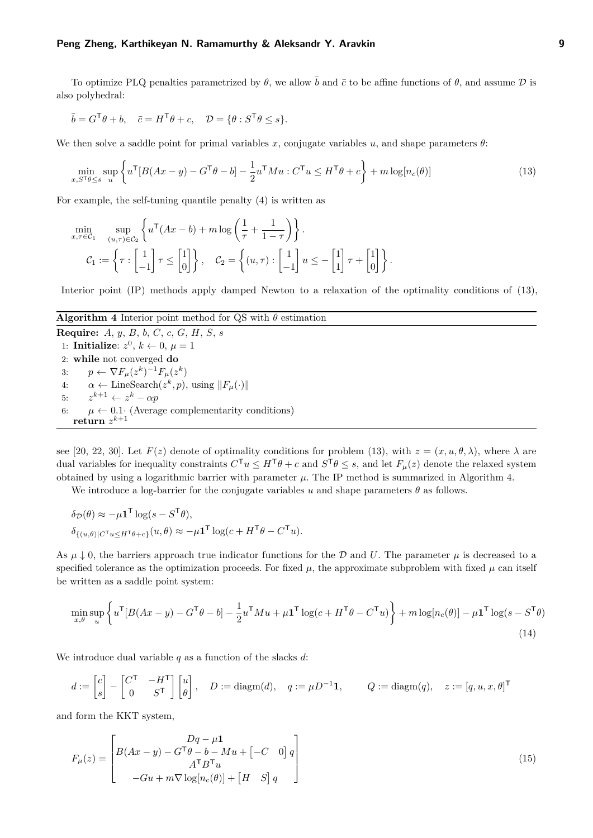#### **Peng Zheng, Karthikeyan N. Ramamurthy & Aleksandr Y. Aravkin 9**

To optimize PLQ penalties parametrized by  $\theta$ , we allow  $\bar{b}$  and  $\bar{c}$  to be affine functions of  $\theta$ , and assume  $\mathcal D$  is also polyhedral:

$$
\bar{b} = G^{\mathsf{T}}\theta + b, \quad \bar{c} = H^{\mathsf{T}}\theta + c, \quad \mathcal{D} = \{\theta : S^{\mathsf{T}}\theta \le s\}.
$$

We then solve a saddle point for primal variables *x*, conjugate variables *u*, and shape parameters  $\theta$ :

<span id="page-8-0"></span>
$$
\min_{x, S^{\mathsf{T}}\theta \le s} \sup_{u} \left\{ u^{\mathsf{T}} [B(Ax - y) - G^{\mathsf{T}}\theta - b] - \frac{1}{2} u^{\mathsf{T}} M u : C^{\mathsf{T}} u \le H^{\mathsf{T}}\theta + c \right\} + m \log[n_c(\theta)] \tag{13}
$$

For example, the self-tuning quantile penalty [\(4\)](#page-2-1) is written as

$$
\min_{x,\tau \in \mathcal{C}_1} \sup_{(u,\tau) \in \mathcal{C}_2} \left\{ u^\mathsf{T} (Ax - b) + m \log \left( \frac{1}{\tau} + \frac{1}{1 - \tau} \right) \right\}.
$$
\n
$$
\mathcal{C}_1 := \left\{ \tau : \begin{bmatrix} 1 \\ -1 \end{bmatrix} \tau \leq \begin{bmatrix} 1 \\ 0 \end{bmatrix} \right\}, \quad \mathcal{C}_2 = \left\{ (u,\tau) : \begin{bmatrix} 1 \\ -1 \end{bmatrix} u \leq - \begin{bmatrix} 1 \\ 1 \end{bmatrix} \tau + \begin{bmatrix} 1 \\ 0 \end{bmatrix} \right\}.
$$

Interior point (IP) methods apply damped Newton to a relaxation of the optimality conditions of [\(13\)](#page-8-0),

#### <span id="page-8-1"></span>**Algorithm 4** Interior point method for QS with  $\theta$  estimation

**Require:** *A*, *y*, *B*, *b*, *C*, *c*, *G*, *H*, *S*, *s* 1: **Initialize**:  $z^0$ ,  $k \leftarrow 0$ ,  $\mu = 1$ 2: **while** not converged **do** 3:  $p \leftarrow \nabla F_{\mu}(z^k)^{-1} F_{\mu}(z^k)$ 4:  $\alpha \leftarrow \text{LineSearch}(z^k, p), \text{ using } ||F_\mu(\cdot)||$ 5:  $z^{k+1} \leftarrow z^k - \alpha p$ 6:  $\mu \leftarrow 0.1$  (Average complementarity conditions)  $\mathbf{return}\,\,z^{k+1}$ 

see [\[20,](#page-14-17) [22,](#page-14-18) [30\]](#page-14-19). Let  $F(z)$  denote of optimality conditions for problem [\(13\)](#page-8-0), with  $z = (x, u, \theta, \lambda)$ , where  $\lambda$  are dual variables for inequality constraints  $C^{\mathsf{T}} u \leq H^{\mathsf{T}} \theta + c$  and  $S^{\mathsf{T}} \theta \leq s$ , and let  $F_{\mu}(z)$  denote the relaxed system obtained by using a logarithmic barrier with parameter  $\mu$ . The IP method is summarized in Algorithm [4.](#page-8-1)

We introduce a log-barrier for the conjugate variables  $u$  and shape parameters  $\theta$  as follows.

$$
\delta_{\mathcal{D}}(\theta) \approx -\mu \mathbf{1}^{\mathsf{T}} \log(s - S^{\mathsf{T}} \theta),
$$
  

$$
\delta_{\{(u,\theta)|C^{\mathsf{T}}u \leq H^{\mathsf{T}}\theta + c\}}(u,\theta) \approx -\mu \mathbf{1}^{\mathsf{T}} \log(c + H^{\mathsf{T}}\theta - C^{\mathsf{T}}u).
$$

As  $\mu \downarrow 0$ , the barriers approach true indicator functions for the D and U. The parameter  $\mu$  is decreased to a specified tolerance as the optimization proceeds. For fixed  $\mu$ , the approximate subproblem with fixed  $\mu$  can itself be written as a saddle point system:

$$
\min_{x,\theta} \sup_{u} \left\{ u^{\mathsf{T}} [B(Ax - y) - G^{\mathsf{T}}\theta - b] - \frac{1}{2} u^{\mathsf{T}} M u + \mu \mathbf{1}^{\mathsf{T}} \log(c + H^{\mathsf{T}}\theta - C^{\mathsf{T}}u) \right\} + m \log[n_c(\theta)] - \mu \mathbf{1}^{\mathsf{T}} \log(s - S^{\mathsf{T}}\theta)
$$
\n(14)

We introduce dual variable *q* as a function of the slacks *d*:

$$
d := \begin{bmatrix} c \\ s \end{bmatrix} - \begin{bmatrix} C^{\mathsf{T}} & -H^{\mathsf{T}} \\ 0 & S^{\mathsf{T}} \end{bmatrix} \begin{bmatrix} u \\ \theta \end{bmatrix}, \quad D := \text{diagm}(d), \quad q := \mu D^{-1} \mathbf{1}, \qquad Q := \text{diagm}(q), \quad z := [q, u, x, \theta]^{\mathsf{T}}
$$

and form the KKT system,

$$
F_{\mu}(z) = \begin{bmatrix} Dq - \mu \mathbf{1} \\ B(Ax - y) - G^{\mathsf{T}}\theta - b - Mu + \begin{bmatrix} -C & 0 \end{bmatrix} q \\ A^{\mathsf{T}}B^{\mathsf{T}}u \\ -Gu + m\nabla \log[n_c(\theta)] + \begin{bmatrix} H & S \end{bmatrix} q \end{bmatrix}
$$
(15)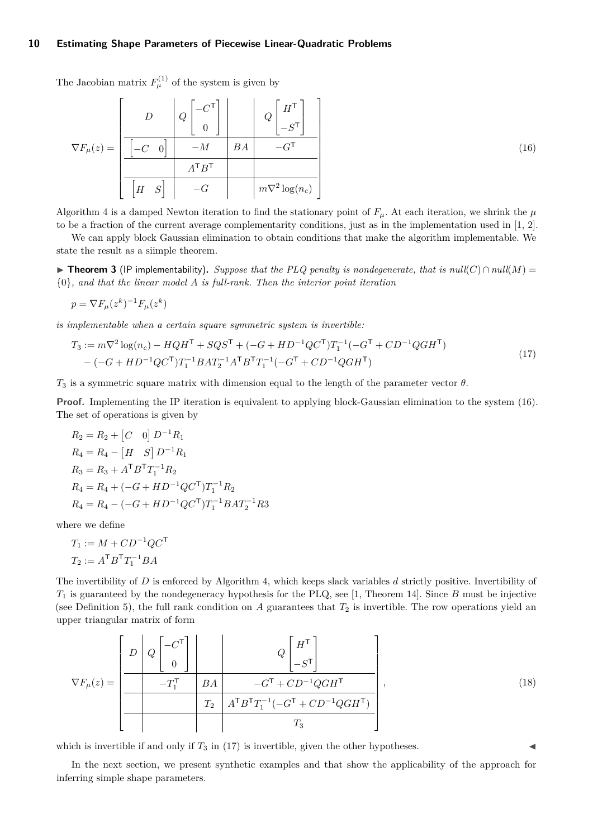The Jacobian matrix  $F_{\mu}^{(1)}$  of the system is given by

<span id="page-9-0"></span>
$$
\nabla F_{\mu}(z) = \left[\begin{array}{c|c} D & Q \begin{bmatrix} -C^{\mathsf{T}} \\ 0 \end{bmatrix} & Q \begin{bmatrix} H^{\mathsf{T}} \\ -S^{\mathsf{T}} \end{bmatrix} \\ \hline \begin{bmatrix} -C & 0 \end{bmatrix} & -M & BA & -G^{\mathsf{T}} \\ \hline \begin{bmatrix} H & S \end{bmatrix} & -G & m\nabla^2 \log(n_c) \end{array}\right]
$$
(16)

Algorithm [4](#page-8-1) is a damped Newton iteration to find the stationary point of  $F_\mu$ . At each iteration, we shrink the  $\mu$ to be a fraction of the current average complementarity conditions, just as in the implementation used in [\[1,](#page-13-0) [2\]](#page-13-5).

We can apply block Gaussian elimination to obtain conditions that make the algorithm implementable. We state the result as a siimple theorem.

**► Theorem 3** (IP implementability). Suppose that the PLQ penalty is nondegenerate, that is  $null(C) \cap null(M) =$ {0}*, and that the linear model A is full-rank. Then the interior point iteration*

<span id="page-9-1"></span>
$$
p = \nabla F_{\mu}(z^k)^{-1} F_{\mu}(z^k)
$$

*is implementable when a certain square symmetric system is invertible:*

$$
T_3 := m\nabla^2 \log(n_c) - HQH^{\mathsf{T}} + SQS^{\mathsf{T}} + (-G + HD^{-1}QC^{\mathsf{T}})T_1^{-1}(-G^{\mathsf{T}} + CD^{-1}QGH^{\mathsf{T}})
$$
  
- 
$$
(-G + HD^{-1}QC^{\mathsf{T}})T_1^{-1}BAT_2^{-1}A^{\mathsf{T}}B^{\mathsf{T}}T_1^{-1}(-G^{\mathsf{T}} + CD^{-1}QGH^{\mathsf{T}})
$$
 (17)

*T*<sup>3</sup> is a symmetric square matrix with dimension equal to the length of the parameter vector *θ*.

**Proof.** Implementing the IP iteration is equivalent to applying block-Gaussian elimination to the system [\(16\)](#page-9-0). The set of operations is given by

$$
R_2 = R_2 + [C \t 0] D^{-1} R_1
$$
  
\n
$$
R_4 = R_4 - [H \t S] D^{-1} R_1
$$
  
\n
$$
R_3 = R_3 + A^T B^T T_1^{-1} R_2
$$
  
\n
$$
R_4 = R_4 + (-G + HD^{-1} QC^T) T_1^{-1} R_2
$$
  
\n
$$
R_4 = R_4 - (-G + HD^{-1} QC^T) T_1^{-1} B A T_2^{-1} R_3
$$

where we define

$$
T_1 := M + CD^{-1}QC^{\mathsf{T}}
$$

$$
T_2 := A^{\mathsf{T}}B^{\mathsf{T}}T_1^{-1}BA
$$

The invertibility of *D* is enforced by Algorithm [4,](#page-8-1) which keeps slack variables *d* strictly positive. Invertibility of *T*<sup>1</sup> is guaranteed by the nondegeneracy hypothesis for the PLQ, see [\[1,](#page-13-0) Theorem 14]. Since *B* must be injective (see Definition [5\)](#page-3-3), the full rank condition on  $A$  guarantees that  $T_2$  is invertible. The row operations yield an upper triangular matrix of form

$$
\nabla F_{\mu}(z) = \left[ \begin{array}{c|c} D & Q \begin{bmatrix} -C^{\mathsf{T}} \\ 0 \end{bmatrix} & Q \begin{bmatrix} H^{\mathsf{T}} \\ -S^{\mathsf{T}} \end{bmatrix} \\ \hline & -T_{1}^{\mathsf{T}} & BA & -G^{\mathsf{T}} + CD^{-1}QGH^{\mathsf{T}} \\ \hline & T_{2} & A^{\mathsf{T}}B^{\mathsf{T}}T_{1}^{-1}(-G^{\mathsf{T}} + CD^{-1}QGH^{\mathsf{T}}) \\ \hline & & T_{3} \end{array} \right], \tag{18}
$$

which is invertible if and only if  $T_3$  in [\(17\)](#page-9-1) is invertible, given the other hypotheses.

In the next section, we present synthetic examples and that show the applicability of the approach for inferring simple shape parameters.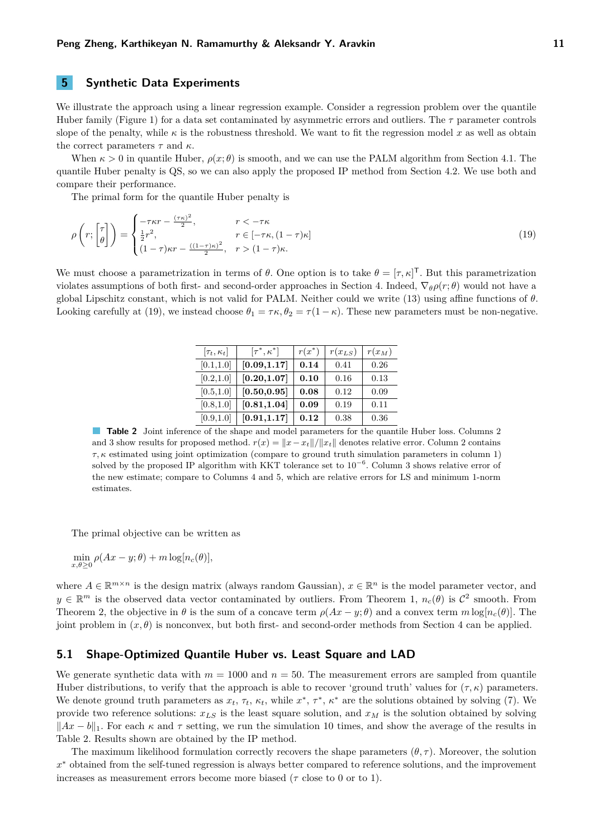<span id="page-10-0"></span>**5 Synthetic Data Experiments**

We illustrate the approach using a linear regression example. Consider a regression problem over the quantile Huber family (Figure [1\)](#page-1-0) for a data set contaminated by asymmetric errors and outliers. The *τ* parameter controls slope of the penalty, while  $\kappa$  is the robustness threshold. We want to fit the regression model x as well as obtain the correct parameters *τ* and *κ*.

When  $\kappa > 0$  in quantile Huber,  $\rho(x;\theta)$  is smooth, and we can use the PALM algorithm from Section [4.1.](#page-6-5) The quantile Huber penalty is QS, so we can also apply the proposed IP method from Section [4.2.](#page-7-0) We use both and compare their performance.

The primal form for the quantile Huber penalty is

$$
\rho\left(r; \begin{bmatrix} \tau \\ \theta \end{bmatrix}\right) = \begin{cases} -\tau \kappa r - \frac{(\tau \kappa)^2}{2}, & r < -\tau \kappa \\ \frac{1}{2}r^2, & r \in [-\tau \kappa, (1-\tau)\kappa] \\ (1-\tau)\kappa r - \frac{((1-\tau)\kappa)^2}{2}, & r > (1-\tau)\kappa. \end{cases}
$$
\n(19)

<span id="page-10-2"></span>We must choose a parametrization in terms of  $\theta$ . One option is to take  $\theta = [\tau, \kappa]^T$ . But this parametrization violates assumptions of both first- and second-order approaches in Section [4.](#page-6-0) Indeed, ∇*θρ*(*r*; *θ*) would not have a global Lipschitz constant, which is not valid for PALM. Neither could we write [\(13\)](#page-8-0) using affine functions of *θ*. Looking carefully at [\(19\)](#page-10-1), we instead choose  $\theta_1 = \tau \kappa$ ,  $\theta_2 = \tau (1 - \kappa)$ . These new parameters must be non-negative.

<span id="page-10-1"></span>

| $[\tau_t, \kappa_t]$ | $[\tau^*,\kappa^*]$ | $r(x^*)$ | $r(x_{LS})$ | $r(x_M)$ |
|----------------------|---------------------|----------|-------------|----------|
| [0.1, 1.0]           | [0.09, 1.17]        | 0.14     | 0.41        | 0.26     |
| [0.2, 1.0]           | [0.20, 1.07]        | 0.10     | 0.16        | 0.13     |
| [0.5, 1.0]           | [0.50, 0.95]        | 0.08     | 0.12        | 0.09     |
| [0.8, 1.0]           | [0.81, 1.04]        | 0.09     | 0.19        | 0.11     |
| [0.9, 1.0]           | [0.91, 1.17]        | 0.12     | 0.38        | 0.36     |

**Table 2** Joint inference of the shape and model parameters for the quantile Huber loss. Columns 2 and 3 show results for proposed method.  $r(x) = ||x - x_t|| / ||x_t||$  denotes relative error. Column 2 contains *τ, κ* estimated using joint optimization (compare to ground truth simulation parameters in column 1) solved by the proposed IP algorithm with KKT tolerance set to  $10^{-6}$ . Column 3 shows relative error of the new estimate; compare to Columns 4 and 5, which are relative errors for LS and minimum 1-norm estimates.

The primal objective can be written as

 $\min_{x,\theta\geq 0} \rho(Ax-y;\theta) + m \log[n_c(\theta)],$ 

where  $A \in \mathbb{R}^{m \times n}$  is the design matrix (always random Gaussian),  $x \in \mathbb{R}^n$  is the model parameter vector, and  $y \in \mathbb{R}^m$  is the observed data vector contaminated by outliers. From Theorem [1,](#page-4-5)  $n_c(\theta)$  is  $\mathcal{C}^2$  smooth. From Theorem [2,](#page-5-0) the objective in  $\theta$  is the sum of a concave term  $\rho(Ax - y; \theta)$  and a convex term  $m \log[n_c(\theta)]$ . The joint problem in  $(x, \theta)$  is nonconvex, but both first- and second-order methods from Section [4](#page-6-0) can be applied.

#### **5.1 Shape-Optimized Quantile Huber vs. Least Square and LAD**

We generate synthetic data with  $m = 1000$  and  $n = 50$ . The measurement errors are sampled from quantile Huber distributions, to verify that the approach is able to recover 'ground truth' values for  $(\tau, \kappa)$  parameters. We denote ground truth parameters as  $x_t$ ,  $\tau_t$ ,  $\kappa_t$ , while  $x^*$ ,  $\tau^*$ ,  $\kappa^*$  are the solutions obtained by solving [\(7\)](#page-4-2). We provide two reference solutions: *xLS* is the least square solution, and *x<sup>M</sup>* is the solution obtained by solving  $\|Ax - b\|_1$ . For each  $\kappa$  and  $\tau$  setting, we run the simulation 10 times, and show the average of the results in Table [2.](#page-10-2) Results shown are obtained by the IP method.

The maximum likelihood formulation correctly recovers the shape parameters  $(\theta, \tau)$ . Moreover, the solution *x* <sup>∗</sup> obtained from the self-tuned regression is always better compared to reference solutions, and the improvement increases as measurement errors become more biased  $(\tau \text{ close to } 0 \text{ or to } 1)$ .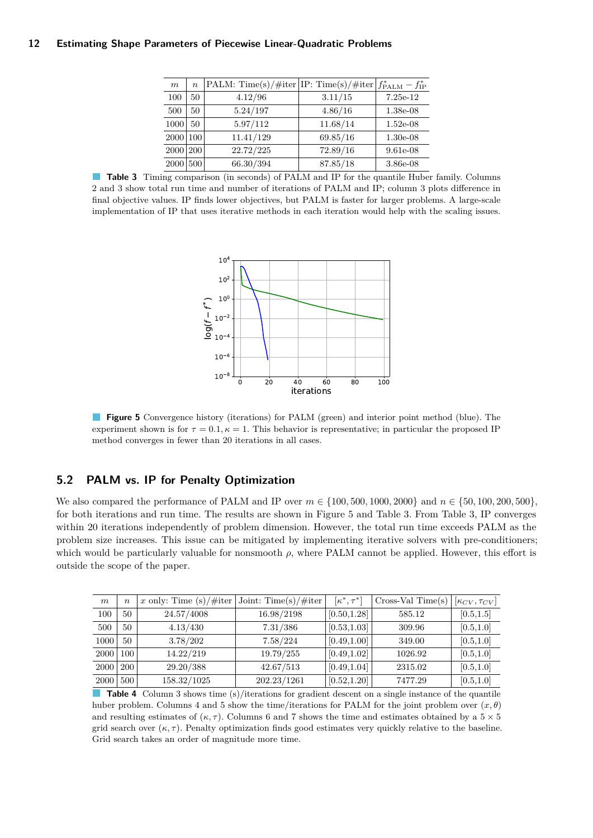<span id="page-11-0"></span>

| $\boldsymbol{m}$ | $\overline{n}$ | $\vert$ PALM: Time(s)/#iter $\vert$ IP: Time(s)/#iter $\vert f^*_{\rm PALM} - f^*_{\rm IP} \vert$ |          |            |
|------------------|----------------|---------------------------------------------------------------------------------------------------|----------|------------|
| 100              | 50             | 4.12/96                                                                                           | 3.11/15  | $7.25e-12$ |
| 500              | 50             | 5.24/197                                                                                          | 4.86/16  | 1.38e-08   |
| 1000             | 50             | 5.97/112                                                                                          | 11.68/14 | $1.52e-08$ |
| 2000 100         |                | 11.41/129                                                                                         | 69.85/16 | $1.30e-08$ |
| 2000 200         |                | 22.72/225                                                                                         | 72.89/16 | $9.61e-08$ |
| 2000 500         |                | 66.30/394                                                                                         | 87.85/18 | 3.86e-08   |

<span id="page-11-1"></span>**Table 3** Timing comparison (in seconds) of PALM and IP for the quantile Huber family. Columns 2 and 3 show total run time and number of iterations of PALM and IP; column 3 plots difference in final objective values. IP finds lower objectives, but PALM is faster for larger problems. A large-scale implementation of IP that uses iterative methods in each iteration would help with the scaling issues.



**Figure 5** Convergence history (iterations) for PALM (green) and interior point method (blue). The experiment shown is for  $\tau = 0.1, \kappa = 1$ . This behavior is representative; in particular the proposed IP method converges in fewer than 20 iterations in all cases.

# **5.2 PALM vs. IP for Penalty Optimization**

We also compared the performance of PALM and IP over  $m \in \{100, 500, 1000, 2000\}$  and  $n \in \{50, 100, 200, 500\}$ , for both iterations and run time. The results are shown in Figure [5](#page-11-1) and Table [3.](#page-11-0) From Table [3,](#page-11-0) IP converges within 20 iterations independently of problem dimension. However, the total run time exceeds PALM as the problem size increases. This issue can be mitigated by implementing iterative solvers with pre-conditioners; which would be particularly valuable for nonsmooth *ρ*, where PALM cannot be applied. However, this effort is outside the scope of the paper.

<span id="page-11-2"></span>

| m    | $\boldsymbol{n}$ | x only: Time $(s)/\#iter$ | Joint: $Time(s)/\#iter$ | $[\kappa^*, \tau^*]$ | $Cross-Val Time(s)$ | $[\kappa_{CV}, \tau_{CV}]$ |
|------|------------------|---------------------------|-------------------------|----------------------|---------------------|----------------------------|
| 100  | 50               | 24.57/4008                | 16.98/2198              | [0.50, 1.28]         | 585.12              | [0.5, 1.5]                 |
| 500  | 50               | 4.13/430                  | 7.31/386                | [0.53, 1.03]         | 309.96              | [0.5, 1.0]                 |
| 1000 | 50               | 3.78/202                  | 7.58/224                | [0.49, 1.00]         | 349.00              | [0.5, 1.0]                 |
| 2000 | 100              | 14.22/219                 | 19.79/255               | [0.49, 1.02]         | 1026.92             | [0.5, 1.0]                 |
| 2000 | 200              | 29.20/388                 | 42.67/513               | [0.49, 1.04]         | 2315.02             | [0.5, 1.0]                 |
| 2000 | 500              | 158.32/1025               | 202.23/1261             | [0.52, 1.20]         | 7477.29             | [0.5, 1.0]                 |

**Table 4** Column 3 shows time (s)/iterations for gradient descent on a single instance of the quantile huber problem. Columns 4 and 5 show the time/iterations for PALM for the joint problem over (*x, θ*) and resulting estimates of  $(\kappa, \tau)$ . Columns 6 and 7 shows the time and estimates obtained by a  $5 \times 5$ grid search over  $(\kappa, \tau)$ . Penalty optimization finds good estimates very quickly relative to the baseline. Grid search takes an order of magnitude more time.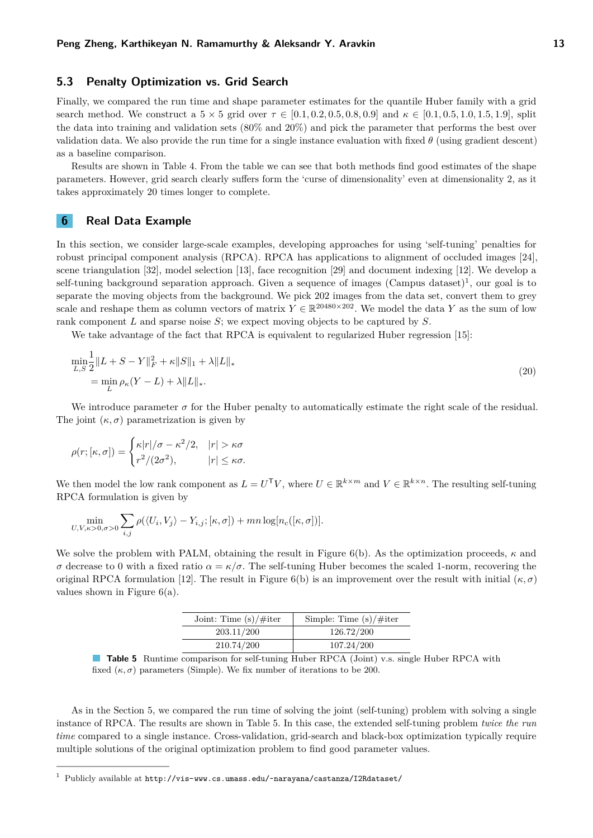## **5.3 Penalty Optimization vs. Grid Search**

Finally, we compared the run time and shape parameter estimates for the quantile Huber family with a grid search method. We construct a  $5 \times 5$  grid over  $\tau \in [0.1, 0.2, 0.5, 0.8, 0.9]$  and  $\kappa \in [0.1, 0.5, 1.0, 1.5, 1.9]$ , split the data into training and validation sets (80% and 20%) and pick the parameter that performs the best over validation data. We also provide the run time for a single instance evaluation with fixed  $\theta$  (using gradient descent) as a baseline comparison.

Results are shown in Table [4.](#page-11-2) From the table we can see that both methods find good estimates of the shape parameters. However, grid search clearly suffers form the 'curse of dimensionality' even at dimensionality 2, as it takes approximately 20 times longer to complete.

## <span id="page-12-0"></span>**6 Real Data Example**

In this section, we consider large-scale examples, developing approaches for using 'self-tuning' penalties for robust principal component analysis (RPCA). RPCA has applications to alignment of occluded images [\[24\]](#page-14-20), scene triangulation [\[32\]](#page-14-21), model selection [\[13\]](#page-14-22), face recognition [\[29\]](#page-14-23) and document indexing [\[12\]](#page-14-24). We develop a self-tuning background separation approach. Given a sequence of images  $(\text{Campus dataset})^1$ , our goal is to separate the moving objects from the background. We pick 202 images from the data set, convert them to grey scale and reshape them as column vectors of matrix  $Y \in \mathbb{R}^{20480 \times 202}$ . We model the data *Y* as the sum of low rank component *L* and sparse noise *S*; we expect moving objects to be captured by *S*.

We take advantage of the fact that RPCA is equivalent to regularized Huber regression [\[15\]](#page-14-25):

$$
\min_{L,S} \frac{1}{2} \|L + S - Y\|_{F}^{2} + \kappa \|S\|_{1} + \lambda \|L\|_{*}
$$
\n
$$
= \min_{L} \rho_{\kappa}(Y - L) + \lambda \|L\|_{*}.
$$
\n(20)

We introduce parameter  $\sigma$  for the Huber penalty to automatically estimate the right scale of the residual. The joint  $(\kappa, \sigma)$  parametrization is given by

$$
\rho(r; [\kappa, \sigma]) = \begin{cases} \kappa |r|/\sigma - \kappa^2/2, & |r| > \kappa\sigma \\ r^2/(2\sigma^2), & |r| \leq \kappa\sigma. \end{cases}
$$

We then model the low rank component as  $L = U^{\mathsf{T}}V$ , where  $U \in \mathbb{R}^{k \times m}$  and  $V \in \mathbb{R}^{k \times n}$ . The resulting self-tuning RPCA formulation is given by

$$
\min_{U,V,\kappa>0,\sigma>0} \sum_{i,j} \rho(\langle U_i,V_j\rangle-Y_{i,j};[\kappa,\sigma])+mn\log[n_c([\kappa,\sigma])].
$$

<span id="page-12-1"></span>We solve the problem with PALM, obtaining the result in Figure [6\(](#page-13-6)b). As the optimization proceeds, *κ* and *σ* decrease to 0 with a fixed ratio *α* = *κ/σ*. The self-tuning Huber becomes the scaled 1-norm, recovering the original RPCA formulation [\[12\]](#page-14-24). The result in Figure [6\(](#page-13-6)b) is an improvement over the result with initial  $(\kappa, \sigma)$ values shown in Figure [6\(](#page-13-6)a).

| Joint: Time $(s)/\#$ iter | Simple: Time $(s)/\#$ iter |
|---------------------------|----------------------------|
| 203.11/200                | 126.72/200                 |
| 210.74/200                | 107.24/200                 |

**Table 5** Runtime comparison for self-tuning Huber RPCA (Joint) v.s. single Huber RPCA with fixed  $(\kappa, \sigma)$  parameters (Simple). We fix number of iterations to be 200.

As in the Section [5,](#page-10-0) we compared the run time of solving the joint (self-tuning) problem with solving a single instance of RPCA. The results are shown in Table [5.](#page-12-1) In this case, the extended self-tuning problem *twice the run time* compared to a single instance. Cross-validation, grid-search and black-box optimization typically require multiple solutions of the original optimization problem to find good parameter values.

<sup>1</sup> Publicly available at <http://vis-www.cs.umass.edu/~narayana/castanza/I2Rdataset/>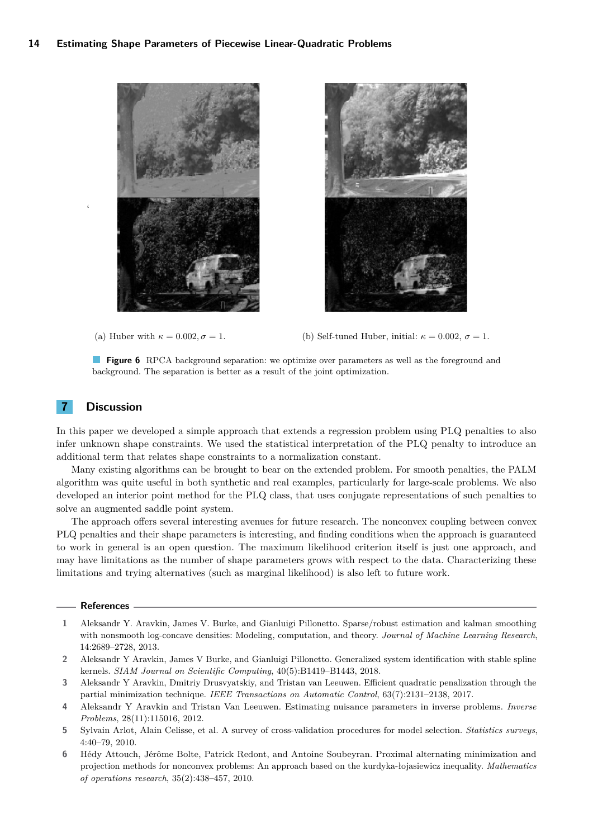<span id="page-13-6"></span>



(a) Huber with  $\kappa = 0.002$ ,  $\sigma = 1$ . (b) Self-tuned Huber, initial:  $\kappa = 0.002$ ,  $\sigma = 1$ .

**Figure 6** RPCA background separation: we optimize over parameters as well as the foreground and background. The separation is better as a result of the joint optimization.

## **7 Discussion**

 $\zeta$ 

In this paper we developed a simple approach that extends a regression problem using PLQ penalties to also infer unknown shape constraints. We used the statistical interpretation of the PLQ penalty to introduce an additional term that relates shape constraints to a normalization constant.

Many existing algorithms can be brought to bear on the extended problem. For smooth penalties, the PALM algorithm was quite useful in both synthetic and real examples, particularly for large-scale problems. We also developed an interior point method for the PLQ class, that uses conjugate representations of such penalties to solve an augmented saddle point system.

The approach offers several interesting avenues for future research. The nonconvex coupling between convex PLQ penalties and their shape parameters is interesting, and finding conditions when the approach is guaranteed to work in general is an open question. The maximum likelihood criterion itself is just one approach, and may have limitations as the number of shape parameters grows with respect to the data. Characterizing these limitations and trying alternatives (such as marginal likelihood) is also left to future work.

#### **References**

- <span id="page-13-0"></span>**1** Aleksandr Y. Aravkin, James V. Burke, and Gianluigi Pillonetto. Sparse/robust estimation and kalman smoothing with nonsmooth log-concave densities: Modeling, computation, and theory. *Journal of Machine Learning Research*, 14:2689–2728, 2013.
- <span id="page-13-5"></span>**2** Aleksandr Y Aravkin, James V Burke, and Gianluigi Pillonetto. Generalized system identification with stable spline kernels. *SIAM Journal on Scientific Computing*, 40(5):B1419–B1443, 2018.
- <span id="page-13-4"></span>**3** Aleksandr Y Aravkin, Dmitriy Drusvyatskiy, and Tristan van Leeuwen. Efficient quadratic penalization through the partial minimization technique. *IEEE Transactions on Automatic Control*, 63(7):2131–2138, 2017.
- <span id="page-13-3"></span>**4** Aleksandr Y Aravkin and Tristan Van Leeuwen. Estimating nuisance parameters in inverse problems. *Inverse Problems*, 28(11):115016, 2012.
- <span id="page-13-1"></span>**5** Sylvain Arlot, Alain Celisse, et al. A survey of cross-validation procedures for model selection. *Statistics surveys*, 4:40–79, 2010.
- <span id="page-13-2"></span>**6** Hédy Attouch, Jérôme Bolte, Patrick Redont, and Antoine Soubeyran. Proximal alternating minimization and projection methods for nonconvex problems: An approach based on the kurdyka-łojasiewicz inequality. *Mathematics of operations research*, 35(2):438–457, 2010.